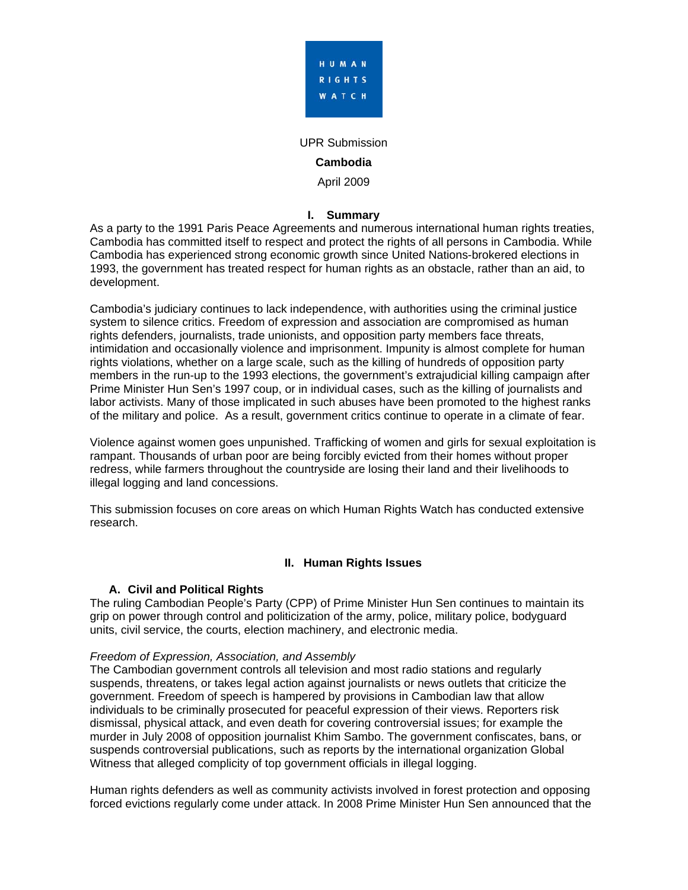

UPR Submission

#### **Cambodia**

April 2009

### **I. Summary**

As a party to the 1991 Paris Peace Agreements and numerous international human rights treaties, Cambodia has committed itself to respect and protect the rights of all persons in Cambodia. While Cambodia has experienced strong economic growth since United Nations-brokered elections in 1993, the government has treated respect for human rights as an obstacle, rather than an aid, to development.

Cambodia's judiciary continues to lack independence, with authorities using the criminal justice system to silence critics. Freedom of expression and association are compromised as human rights defenders, journalists, trade unionists, and opposition party members face threats, intimidation and occasionally violence and imprisonment. Impunity is almost complete for human rights violations, whether on a large scale, such as the killing of hundreds of opposition party members in the run-up to the 1993 elections, the government's extrajudicial killing campaign after Prime Minister Hun Sen's 1997 coup, or in individual cases, such as the killing of journalists and labor activists. Many of those implicated in such abuses have been promoted to the highest ranks of the military and police. As a result, government critics continue to operate in a climate of fear.

Violence against women goes unpunished. Trafficking of women and girls for sexual exploitation is rampant. Thousands of urban poor are being forcibly evicted from their homes without proper redress, while farmers throughout the countryside are losing their land and their livelihoods to illegal logging and land concessions.

This submission focuses on core areas on which Human Rights Watch has conducted extensive research.

## **II. Human Rights Issues**

## **A. Civil and Political Rights**

The ruling Cambodian People's Party (CPP) of Prime Minister Hun Sen continues to maintain its grip on power through control and politicization of the army, police, military police, bodyguard units, civil service, the courts, election machinery, and electronic media.

#### *Freedom of Expression, Association, and Assembly*

The Cambodian government controls all television and most radio stations and regularly suspends, threatens, or takes legal action against journalists or news outlets that criticize the government. Freedom of speech is hampered by provisions in Cambodian law that allow individuals to be criminally prosecuted for peaceful expression of their views. Reporters risk dismissal, physical attack, and even death for covering controversial issues; for example the murder in July 2008 of opposition journalist Khim Sambo. The government confiscates, bans, or suspends controversial publications, such as reports by the international organization Global Witness that alleged complicity of top government officials in illegal logging.

Human rights defenders as well as community activists involved in forest protection and opposing forced evictions regularly come under attack. In 2008 Prime Minister Hun Sen announced that the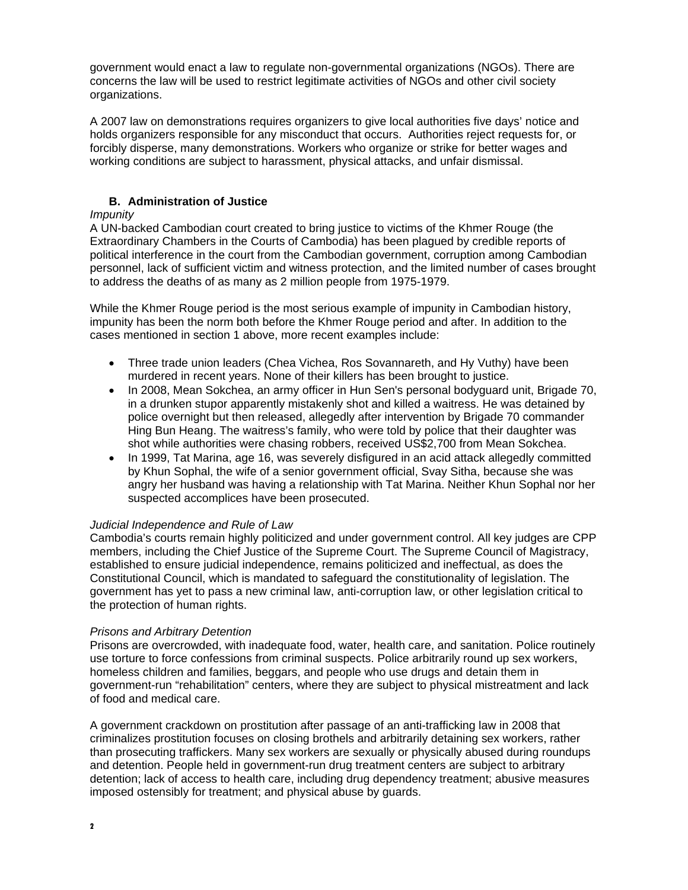government would enact a law to regulate non-governmental organizations (NGOs). There are concerns the law will be used to restrict legitimate activities of NGOs and other civil society organizations.

A 2007 law on demonstrations requires organizers to give local authorities five days' notice and holds organizers responsible for any misconduct that occurs. Authorities reject requests for, or forcibly disperse, many demonstrations. Workers who organize or strike for better wages and working conditions are subject to harassment, physical attacks, and unfair dismissal.

## **B. Administration of Justice**

### *Impunity*

A UN-backed Cambodian court created to bring justice to victims of the Khmer Rouge (the Extraordinary Chambers in the Courts of Cambodia) has been plagued by credible reports of political interference in the court from the Cambodian government, corruption among Cambodian personnel, lack of sufficient victim and witness protection, and the limited number of cases brought to address the deaths of as many as 2 million people from 1975-1979.

While the Khmer Rouge period is the most serious example of impunity in Cambodian history, impunity has been the norm both before the Khmer Rouge period and after. In addition to the cases mentioned in section 1 above, more recent examples include:

- Three trade union leaders (Chea Vichea, Ros Sovannareth, and Hy Vuthy) have been murdered in recent years. None of their killers has been brought to justice.
- In 2008, Mean Sokchea, an army officer in Hun Sen's personal bodyguard unit, Brigade 70, in a drunken stupor apparently mistakenly shot and killed a waitress. He was detained by police overnight but then released, allegedly after intervention by Brigade 70 commander Hing Bun Heang. The waitress's family, who were told by police that their daughter was shot while authorities were chasing robbers, received US\$2,700 from Mean Sokchea.
- In 1999, Tat Marina, age 16, was severely disfigured in an acid attack allegedly committed by Khun Sophal, the wife of a senior government official, Svay Sitha, because she was angry her husband was having a relationship with Tat Marina. Neither Khun Sophal nor her suspected accomplices have been prosecuted.

#### *Judicial Independence and Rule of Law*

Cambodia's courts remain highly politicized and under government control. All key judges are CPP members, including the Chief Justice of the Supreme Court. The Supreme Council of Magistracy, established to ensure judicial independence, remains politicized and ineffectual, as does the Constitutional Council, which is mandated to safeguard the constitutionality of legislation. The government has yet to pass a new criminal law, anti-corruption law, or other legislation critical to the protection of human rights.

## *Prisons and Arbitrary Detention*

Prisons are overcrowded, with inadequate food, water, health care, and sanitation. Police routinely use torture to force confessions from criminal suspects. Police arbitrarily round up sex workers, homeless children and families, beggars, and people who use drugs and detain them in government-run "rehabilitation" centers, where they are subject to physical mistreatment and lack of food and medical care.

A government crackdown on prostitution after passage of an anti-trafficking law in 2008 that criminalizes prostitution focuses on closing brothels and arbitrarily detaining sex workers, rather than prosecuting traffickers. Many sex workers are sexually or physically abused during roundups and detention. People held in government-run drug treatment centers are subject to arbitrary detention; lack of access to health care, including drug dependency treatment; abusive measures imposed ostensibly for treatment; and physical abuse by guards.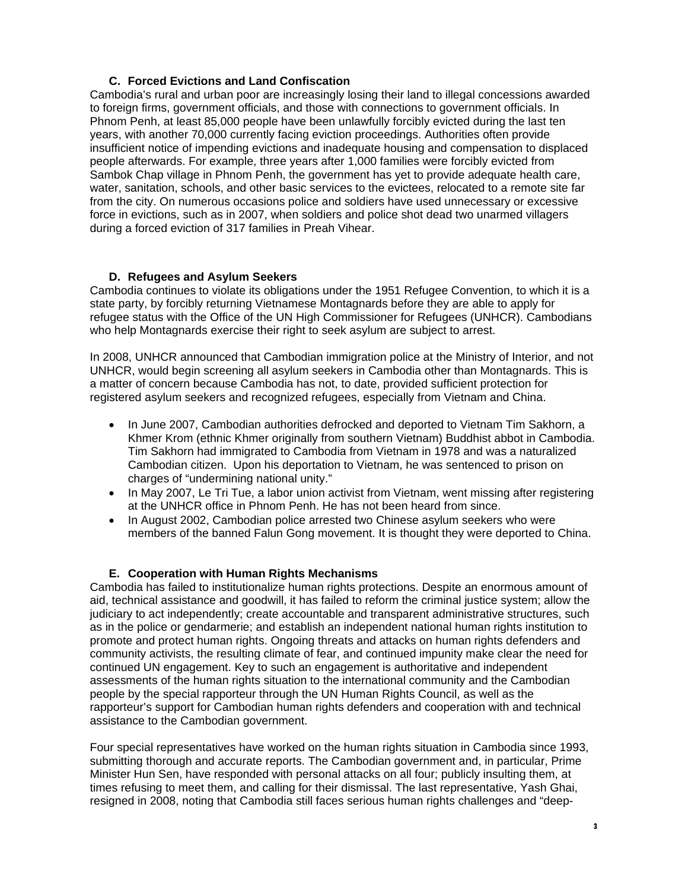## **C. Forced Evictions and Land Confiscation**

Cambodia's rural and urban poor are increasingly losing their land to illegal concessions awarded to foreign firms, government officials, and those with connections to government officials. In Phnom Penh, at least 85,000 people have been unlawfully forcibly evicted during the last ten years, with another 70,000 currently facing eviction proceedings. Authorities often provide insufficient notice of impending evictions and inadequate housing and compensation to displaced people afterwards. For example, three years after 1,000 families were forcibly evicted from Sambok Chap village in Phnom Penh, the government has yet to provide adequate health care, water, sanitation, schools, and other basic services to the evictees, relocated to a remote site far from the city. On numerous occasions police and soldiers have used unnecessary or excessive force in evictions, such as in 2007, when soldiers and police shot dead two unarmed villagers during a forced eviction of 317 families in Preah Vihear.

## **D. Refugees and Asylum Seekers**

Cambodia continues to violate its obligations under the 1951 Refugee Convention, to which it is a state party, by forcibly returning Vietnamese Montagnards before they are able to apply for refugee status with the Office of the UN High Commissioner for Refugees (UNHCR). Cambodians who help Montagnards exercise their right to seek asylum are subject to arrest.

In 2008, UNHCR announced that Cambodian immigration police at the Ministry of Interior, and not UNHCR, would begin screening all asylum seekers in Cambodia other than Montagnards. This is a matter of concern because Cambodia has not, to date, provided sufficient protection for registered asylum seekers and recognized refugees, especially from Vietnam and China.

- In June 2007, Cambodian authorities defrocked and deported to Vietnam Tim Sakhorn, a Khmer Krom (ethnic Khmer originally from southern Vietnam) Buddhist abbot in Cambodia. Tim Sakhorn had immigrated to Cambodia from Vietnam in 1978 and was a naturalized Cambodian citizen. Upon his deportation to Vietnam, he was sentenced to prison on charges of "undermining national unity."
- In May 2007, Le Tri Tue, a labor union activist from Vietnam, went missing after registering at the UNHCR office in Phnom Penh. He has not been heard from since.
- In August 2002, Cambodian police arrested two Chinese asylum seekers who were members of the banned Falun Gong movement. It is thought they were deported to China.

## **E. Cooperation with Human Rights Mechanisms**

Cambodia has failed to institutionalize human rights protections. Despite an enormous amount of aid, technical assistance and goodwill, it has failed to reform the criminal justice system; allow the judiciary to act independently; create accountable and transparent administrative structures, such as in the police or gendarmerie; and establish an independent national human rights institution to promote and protect human rights. Ongoing threats and attacks on human rights defenders and community activists, the resulting climate of fear, and continued impunity make clear the need for continued UN engagement. Key to such an engagement is authoritative and independent assessments of the human rights situation to the international community and the Cambodian people by the special rapporteur through the UN Human Rights Council, as well as the rapporteur's support for Cambodian human rights defenders and cooperation with and technical assistance to the Cambodian government.

Four special representatives have worked on the human rights situation in Cambodia since 1993, submitting thorough and accurate reports. The Cambodian government and, in particular, Prime Minister Hun Sen, have responded with personal attacks on all four; publicly insulting them, at times refusing to meet them, and calling for their dismissal. The last representative, Yash Ghai, resigned in 2008, noting that Cambodia still faces serious human rights challenges and "deep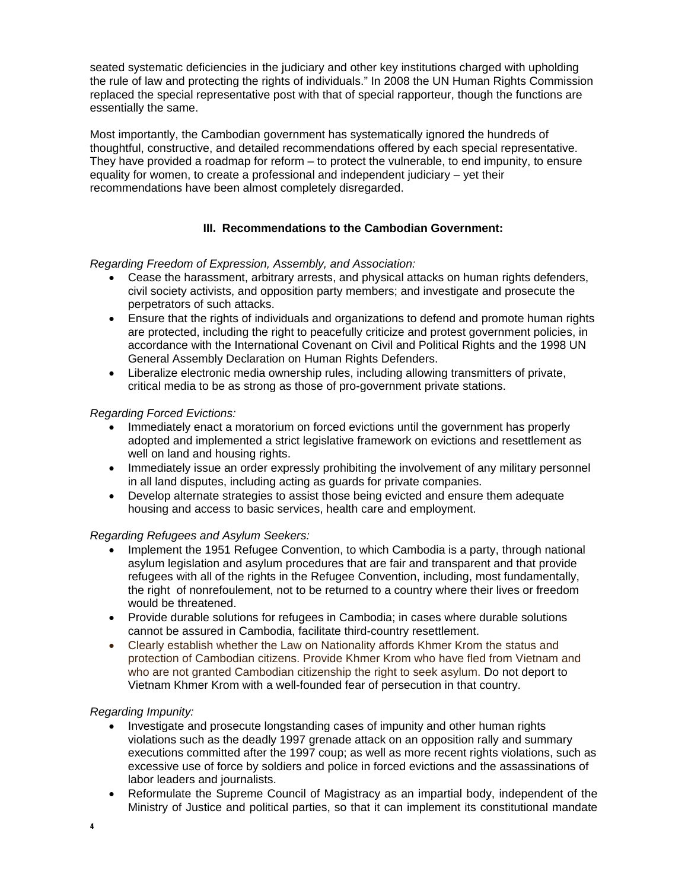seated systematic deficiencies in the judiciary and other key institutions charged with upholding the rule of law and protecting the rights of individuals." In 2008 the UN Human Rights Commission replaced the special representative post with that of special rapporteur, though the functions are essentially the same.

Most importantly, the Cambodian government has systematically ignored the hundreds of thoughtful, constructive, and detailed recommendations offered by each special representative. They have provided a roadmap for reform – to protect the vulnerable, to end impunity, to ensure equality for women, to create a professional and independent judiciary – yet their recommendations have been almost completely disregarded.

# **III. Recommendations to the Cambodian Government:**

*Regarding Freedom of Expression, Assembly, and Association:* 

- Cease the harassment, arbitrary arrests, and physical attacks on human rights defenders, civil society activists, and opposition party members; and investigate and prosecute the perpetrators of such attacks.
- Ensure that the rights of individuals and organizations to defend and promote human rights are protected, including the right to peacefully criticize and protest government policies, in accordance with the International Covenant on Civil and Political Rights and the 1998 UN General Assembly Declaration on Human Rights Defenders.
- Liberalize electronic media ownership rules, including allowing transmitters of private, critical media to be as strong as those of pro-government private stations.

## *Regarding Forced Evictions:*

- Immediately enact a moratorium on forced evictions until the government has properly adopted and implemented a strict legislative framework on evictions and resettlement as well on land and housing rights.
- Immediately issue an order expressly prohibiting the involvement of any military personnel in all land disputes, including acting as guards for private companies.
- Develop alternate strategies to assist those being evicted and ensure them adequate housing and access to basic services, health care and employment.

## *Regarding Refugees and Asylum Seekers:*

- Implement the 1951 Refugee Convention, to which Cambodia is a party, through national asylum legislation and asylum procedures that are fair and transparent and that provide refugees with all of the rights in the Refugee Convention, including, most fundamentally, the right of nonrefoulement, not to be returned to a country where their lives or freedom would be threatened.
- Provide durable solutions for refugees in Cambodia; in cases where durable solutions cannot be assured in Cambodia, facilitate third-country resettlement.
- Clearly establish whether the Law on Nationality affords Khmer Krom the status and protection of Cambodian citizens. Provide Khmer Krom who have fled from Vietnam and who are not granted Cambodian citizenship the right to seek asylum. Do not deport to Vietnam Khmer Krom with a well-founded fear of persecution in that country.

## *Regarding Impunity:*

- Investigate and prosecute longstanding cases of impunity and other human rights violations such as the deadly 1997 grenade attack on an opposition rally and summary executions committed after the 1997 coup; as well as more recent rights violations, such as excessive use of force by soldiers and police in forced evictions and the assassinations of labor leaders and journalists.
- Reformulate the Supreme Council of Magistracy as an impartial body, independent of the Ministry of Justice and political parties, so that it can implement its constitutional mandate